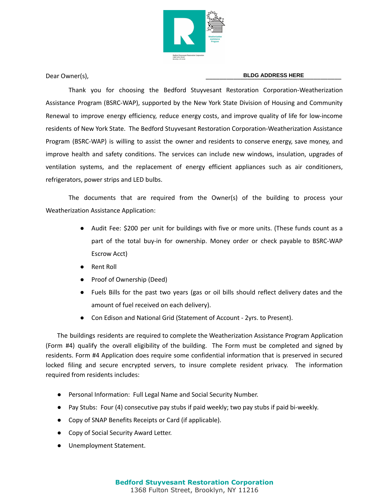

## Dear Owner(s), \_\_\_\_\_\_\_\_\_\_\_\_\_\_\_\_\_\_\_\_\_\_\_\_\_\_\_\_\_\_\_\_\_\_\_\_\_\_\_ **BLDG ADDRESS HERE**

Thank you for choosing the Bedford Stuyvesant Restoration Corporation-Weatherization Assistance Program (BSRC-WAP), supported by the New York State Division of Housing and Community Renewal to improve energy efficiency, reduce energy costs, and improve quality of life for low-income residents of New York State. The Bedford Stuyvesant Restoration Corporation-Weatherization Assistance Program (BSRC-WAP) is willing to assist the owner and residents to conserve energy, save money, and improve health and safety conditions. The services can include new windows, insulation, upgrades of ventilation systems, and the replacement of energy efficient appliances such as air conditioners, refrigerators, power strips and LED bulbs.

The documents that are required from the Owner(s) of the building to process your Weatherization Assistance Application:

- Audit Fee: \$200 per unit for buildings with five or more units. (These funds count as a part of the total buy-in for ownership. Money order or check payable to BSRC-WAP Escrow Acct)
- **Rent Roll**
- Proof of Ownership (Deed)
- Fuels Bills for the past two years (gas or oil bills should reflect delivery dates and the amount of fuel received on each delivery).
- Con Edison and National Grid (Statement of Account 2yrs. to Present).

The buildings residents are required to complete the Weatherization Assistance Program Application (Form #4) qualify the overall eligibility of the building. The Form must be completed and signed by residents. Form #4 Application does require some confidential information that is preserved in secured locked filing and secure encrypted servers, to insure complete resident privacy. The information required from residents includes:

- Personal Information: Full Legal Name and Social Security Number.
- Pay Stubs: Four (4) consecutive pay stubs if paid weekly; two pay stubs if paid bi-weekly.
- Copy of SNAP Benefits Receipts or Card (if applicable).
- Copy of Social Security Award Letter.
- Unemployment Statement.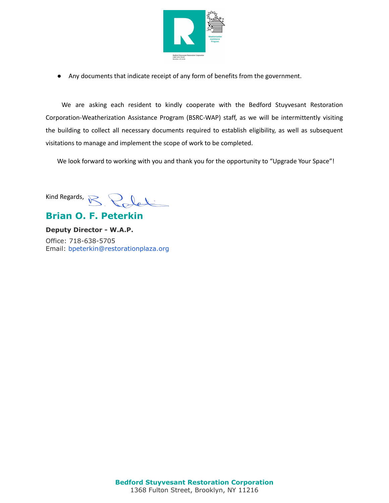

● Any documents that indicate receipt of any form of benefits from the government.

We are asking each resident to kindly cooperate with the Bedford Stuyvesant Restoration Corporation-Weatherization Assistance Program (BSRC-WAP) staff, as we will be intermittently visiting the building to collect all necessary documents required to establish eligibility, as well as subsequent visitations to manage and implement the scope of work to be completed.

We look forward to working with you and thank you for the opportunity to "Upgrade Your Space"!

Kind Regards,  $\sqrt{\epsilon}$ 

## **Brian O. F. Peterkin**

**Deputy Director - W.A.P.** Office: 718-638-5705 Email: bpeterkin@restorationplaza.org